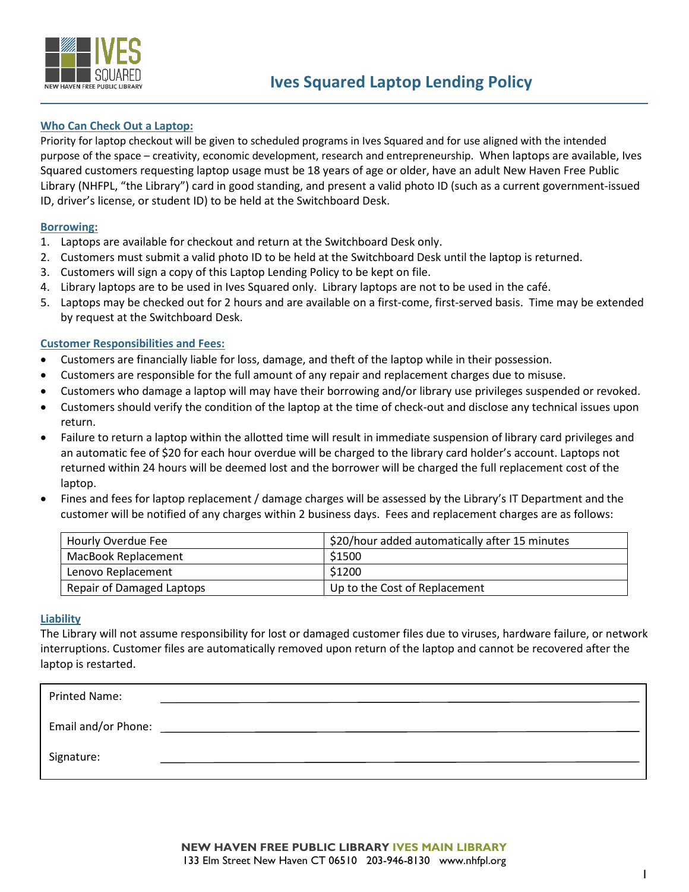

# **Who Can Check Out a Laptop:**

Priority for laptop checkout will be given to scheduled programs in Ives Squared and for use aligned with the intended purpose of the space – creativity, economic development, research and entrepreneurship. When laptops are available, Ives Squared customers requesting laptop usage must be 18 years of age or older, have an adult New Haven Free Public Library (NHFPL, "the Library") card in good standing, and present a valid photo ID (such as a current government-issued ID, driver's license, or student ID) to be held at the Switchboard Desk.

# **Borrowing:**

- 1. Laptops are available for checkout and return at the Switchboard Desk only.
- 2. Customers must submit a valid photo ID to be held at the Switchboard Desk until the laptop is returned.
- 3. Customers will sign a copy of this Laptop Lending Policy to be kept on file.
- 4. Library laptops are to be used in Ives Squared only. Library laptops are not to be used in the café.
- 5. Laptops may be checked out for 2 hours and are available on a first-come, first-served basis. Time may be extended by request at the Switchboard Desk.

# **Customer Responsibilities and Fees:**

- Customers are financially liable for loss, damage, and theft of the laptop while in their possession.
- Customers are responsible for the full amount of any repair and replacement charges due to misuse.
- Customers who damage a laptop will may have their borrowing and/or library use privileges suspended or revoked.
- Customers should verify the condition of the laptop at the time of check-out and disclose any technical issues upon return.
- Failure to return a laptop within the allotted time will result in immediate suspension of library card privileges and an automatic fee of \$20 for each hour overdue will be charged to the library card holder's account. Laptops not returned within 24 hours will be deemed lost and the borrower will be charged the full replacement cost of the laptop.
- Fines and fees for laptop replacement / damage charges will be assessed by the Library's IT Department and the customer will be notified of any charges within 2 business days. Fees and replacement charges are as follows:

| Hourly Overdue Fee        | \$20/hour added automatically after 15 minutes |
|---------------------------|------------------------------------------------|
| MacBook Replacement       | \$1500                                         |
| Lenovo Replacement        | \$1200                                         |
| Repair of Damaged Laptops | Up to the Cost of Replacement                  |

#### **Liability**

The Library will not assume responsibility for lost or damaged customer files due to viruses, hardware failure, or network interruptions. Customer files are automatically removed upon return of the laptop and cannot be recovered after the laptop is restarted.

| <b>Printed Name:</b> |  |
|----------------------|--|
| Email and/or Phone:  |  |
| Signature:           |  |